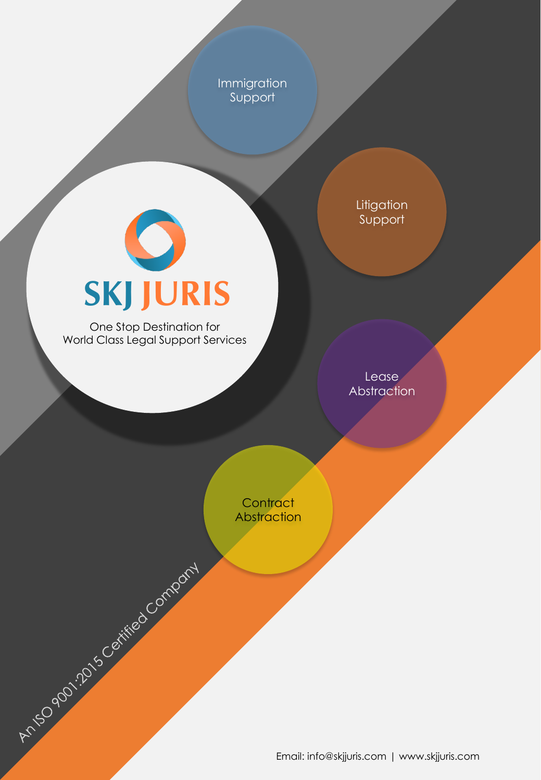Immigration Support

> **Litigation** Support

# **SKJ JURIS**

One Stop Destination for World Class Legal Support Services

Anti-Dominio Company

Lease **Abstraction** 

**Contract** Abstraction

Email: info@skjjuris.com | www.skjjuris.com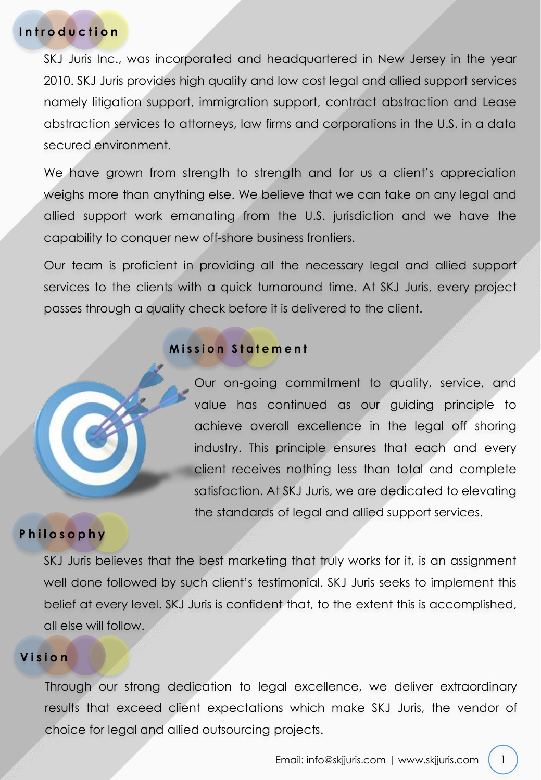## **Introduction**

SKJ Juris Inc., was incorporated and headquartered in New Jersey in the year 2010. SKJ Juris provides high quality and low cost legal and allied support services namely litigation support, immigration support, contract abstraction and Lease abstraction services to attorneys, law firms and corporations in the U.S. in a data secured environment.

We have grown from strength to strength and for us a client's appreciation weighs more than anything else. We believe that we can take on any legal and allied support work emanating from the U.S. jurisdiction and we have the capability to conquer new off-shore business frontiers.

Our team is proficient in providing all the necessary legal and allied support services to the clients with a quick turnaround time. At SKJ Juris, every project passes through a quality check before it is delivered to the client.

#### **M i s s i o n S t a t e m e n t**



Our on-going commitment to quality, service, and value has continued as our guiding principle to achieve overall excellence in the legal off shoring industry. This principle ensures that each and every client receives nothing less than total and complete satisfaction. At SKJ Juris, we are dedicated to elevating the standards of legal and allied support services.

# **Philosophy**

SKJ Juris believes that the best marketing that truly works for it, is an assignment well done followed by such client's testimonial. SKJ Juris seeks to implement this belief at every level. SKJ Juris is confident that, to the extent this is accomplished, all else will follow.

# **Vision**

Through our strong dedication to legal excellence, we deliver extraordinary results that exceed client expectations which make SKJ Juris, the vendor of choice for legal and allied outsourcing projects.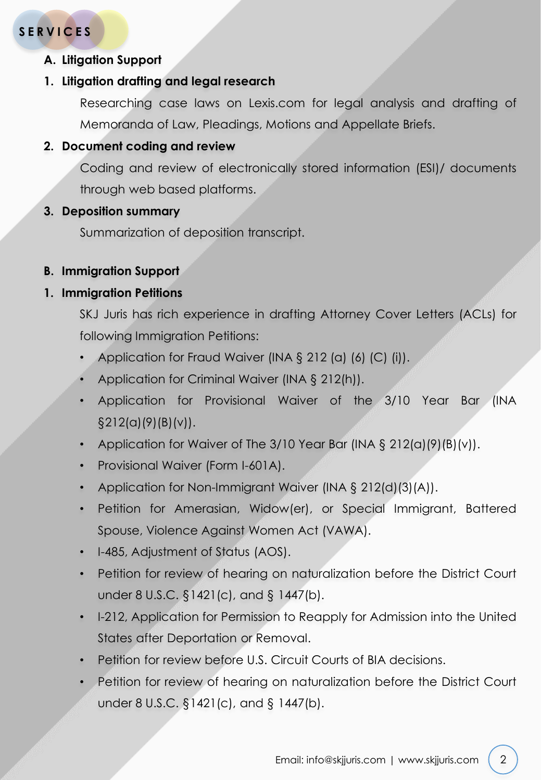# **SERVICES**

**A. Litigation Support**

#### **1. Litigation drafting and legal research**

Researching case laws on Lexis.com for legal analysis and drafting of Memoranda of Law, Pleadings, Motions and Appellate Briefs.

### **2. Document coding and review**

Coding and review of electronically stored information (ESI)/ documents through web based platforms.

#### **3. Deposition summary**

Summarization of deposition transcript.

#### **B. Immigration Support**

#### **1. Immigration Petitions**

SKJ Juris has rich experience in drafting Attorney Cover Letters (ACLs) for following Immigration Petitions:

- Application for Fraud Waiver (INA § 212 (a) (6) (C) (i)).
- Application for Criminal Waiver (INA § 212(h)).
- Application for Provisional Waiver of the 3/10 Year Bar (INA §212(a)(9)(B)(v)).
- Application for Waiver of The 3/10 Year Bar (INA  $\S 212(a)(9)(B)(v)$ ).
- Provisional Waiver (Form I-601A).
- Application for Non-Immigrant Waiver (INA § 212(d)(3)(A)).
- Petition for Amerasian, Widow(er), or Special Immigrant, Battered Spouse, Violence Against Women Act (VAWA).
- I-485, Adjustment of Status (AOS).
- Petition for review of hearing on naturalization before the District Court under 8 U.S.C. §1421(c), and § 1447(b).
- I-212, Application for Permission to Reapply for Admission into the United States after Deportation or Removal.
- Petition for review before U.S. Circuit Courts of BIA decisions.
- Petition for review of hearing on naturalization before the District Court under 8 U.S.C. §1421(c), and § 1447(b).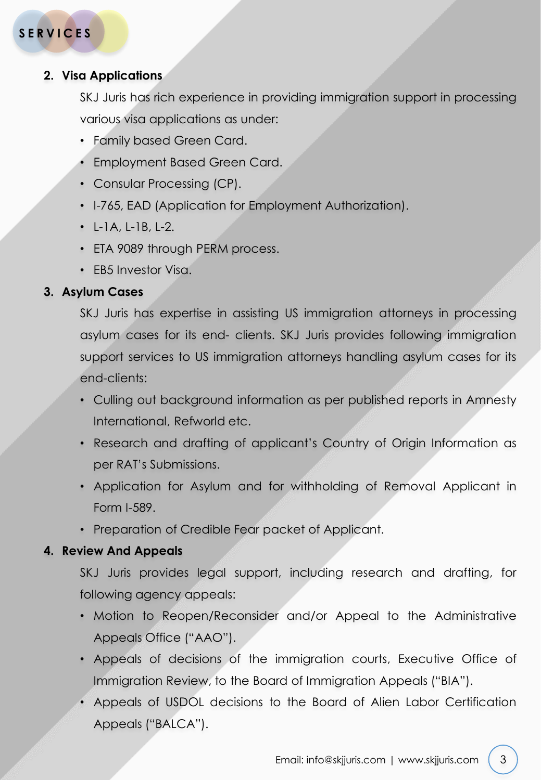## **2. Visa Applications**

SKJ Juris has rich experience in providing immigration support in processing various visa applications as under:

- Family based Green Card.
- Employment Based Green Card.
- Consular Processing (CP).
- I-765, EAD (Application for Employment Authorization).
- $\cdot$  L-1A, L-1B, L-2.
- ETA 9089 through PERM process.
- EB5 Investor Visa.

# **3. Asylum Cases**

SKJ Juris has expertise in assisting US immigration attorneys in processing asylum cases for its end- clients. SKJ Juris provides following immigration support services to US immigration attorneys handling asylum cases for its end-clients:

- Culling out background information as per published reports in Amnesty International, Refworld etc.
- Research and drafting of applicant's Country of Origin Information as per RAT's Submissions.
- Application for Asylum and for withholding of Removal Applicant in Form I-589.
- Preparation of Credible Fear packet of Applicant.

# **4. Review And Appeals**

SKJ Juris provides legal support, including research and drafting, for following agency appeals:

- Motion to Reopen/Reconsider and/or Appeal to the Administrative Appeals Office ("AAO").
- Appeals of decisions of the immigration courts, Executive Office of Immigration Review, to the Board of Immigration Appeals ("BIA").
- Appeals of USDOL decisions to the Board of Alien Labor Certification Appeals ("BALCA").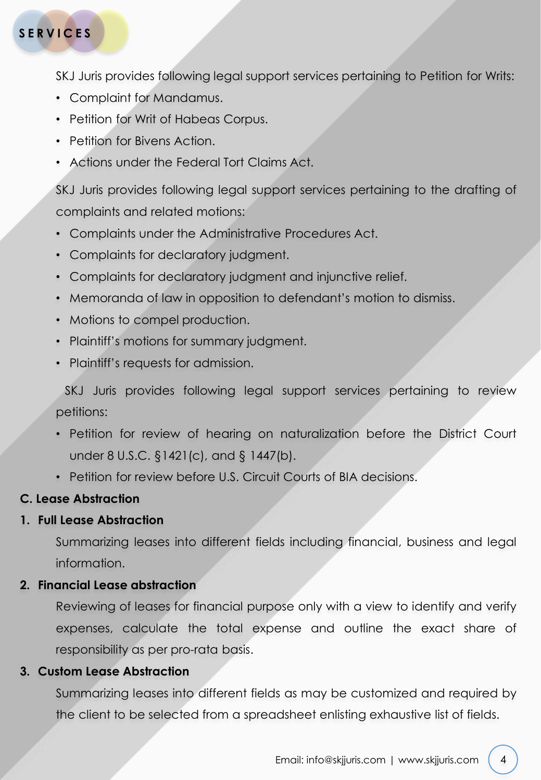# **SERVICES**

SKJ Juris provides following legal support services pertaining to Petition for Writs:

- Complaint for Mandamus.
- Petition for Writ of Habeas Corpus.
- Petition for Bivens Action.
- Actions under the Federal Tort Claims Act.

SKJ Juris provides following legal support services pertaining to the drafting of complaints and related motions:

- Complaints under the Administrative Procedures Act.
- Complaints for declaratory judgment.
- Complaints for declaratory judgment and injunctive relief.
- Memoranda of law in opposition to defendant's motion to dismiss.
- Motions to compel production.
- Plaintiff's motions for summary judgment.
- Plaintiff's requests for admission.

SKJ Juris provides following legal support services pertaining to review petitions:

- Petition for review of hearing on naturalization before the District Court under 8 U.S.C. §1421(c), and § 1447(b).
- Petition for review before U.S. Circuit Courts of BIA decisions.

# **C. Lease Abstraction**

#### **1. Full Lease Abstraction**

Summarizing leases into different fields including financial, business and legal information.

#### **2. Financial Lease abstraction**

Reviewing of leases for financial purpose only with a view to identify and verify expenses, calculate the total expense and outline the exact share of responsibility as per pro-rata basis.

#### **3. Custom Lease Abstraction**

Summarizing leases into different fields as may be customized and required by the client to be selected from a spreadsheet enlisting exhaustive list of fields.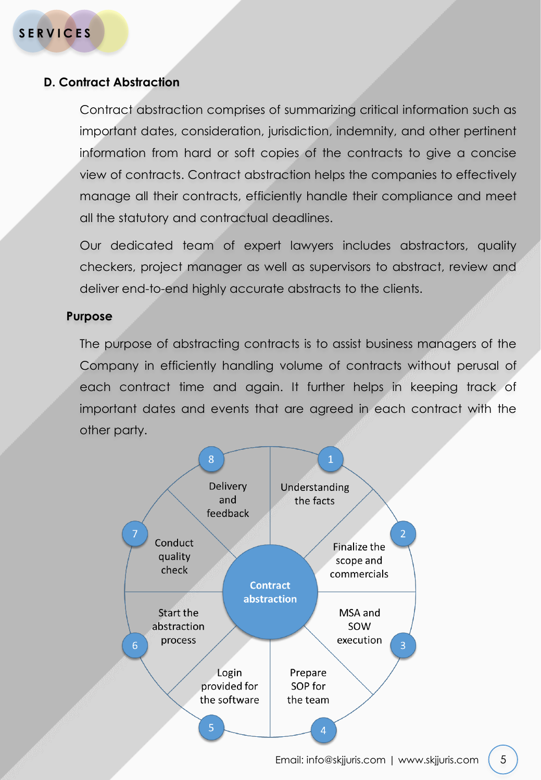## **D. Contract Abstraction**

Contract abstraction comprises of summarizing critical information such as important dates, consideration, jurisdiction, indemnity, and other pertinent information from hard or soft copies of the contracts to give a concise view of contracts. Contract abstraction helps the companies to effectively manage all their contracts, efficiently handle their compliance and meet all the statutory and contractual deadlines.

Our dedicated team of expert lawyers includes abstractors, quality checkers, project manager as well as supervisors to abstract, review and deliver end-to-end highly accurate abstracts to the clients.

#### **Purpose**

The purpose of abstracting contracts is to assist business managers of the Company in efficiently handling volume of contracts without perusal of each contract time and again. It further helps in keeping track of important dates and events that are agreed in each contract with the other party.

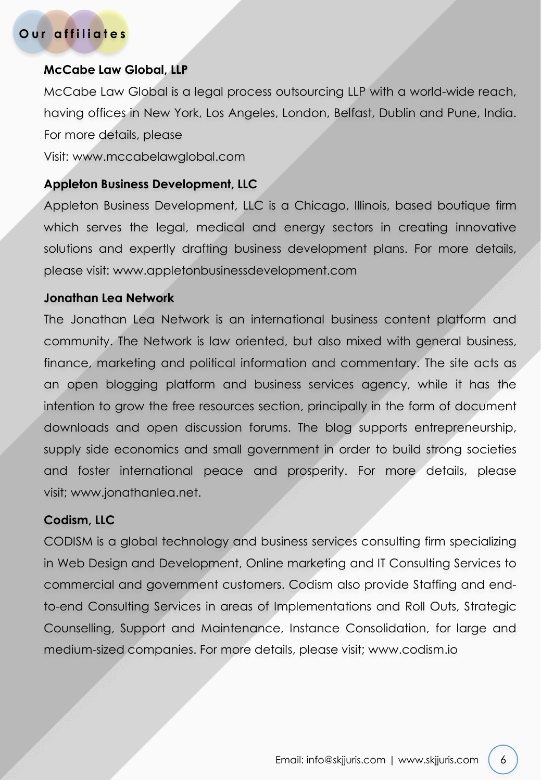# **Our affiliates**

#### **McCabe Law Global, LLP**

McCabe Law Global is a legal process outsourcing LLP with a world-wide reach, having offices in New York, Los Angeles, London, Belfast, Dublin and Pune, India. For more details, please

Visit: www.mccabelawglobal.com

#### **Appleton Business Development, LLC**

Appleton Business Development, LLC is a Chicago, Illinois, based boutique firm which serves the legal, medical and energy sectors in creating innovative solutions and expertly drafting business development plans. For more details, please visit: www.appletonbusinessdevelopment.com

#### **Jonathan Lea Network**

The Jonathan Lea Network is an international business content platform and community. The Network is law oriented, but also mixed with general business, finance, marketing and political information and commentary. The site acts as an open blogging platform and business services agency, while it has the intention to grow the free resources section, principally in the form of document downloads and open discussion forums. The blog supports entrepreneurship, supply side economics and small government in order to build strong societies and foster international peace and prosperity. For more details, please visit; www.jonathanlea.net.

#### **Codism, LLC**

CODISM is a global technology and business services consulting firm specializing in Web Design and Development, Online marketing and IT Consulting Services to commercial and government customers. Codism also provide Staffing and endto-end Consulting Services in areas of Implementations and Roll Outs, Strategic Counselling, Support and Maintenance, Instance Consolidation, for large and medium-sized companies. For more details, please visit; www.codism.io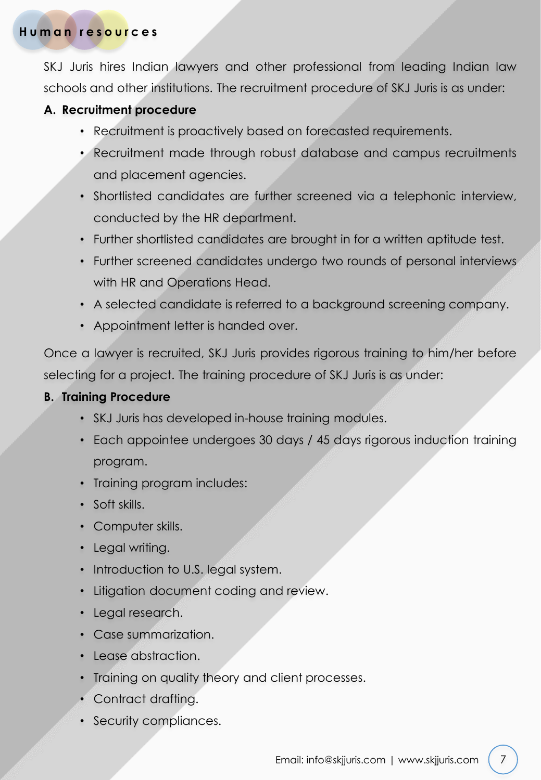# **Human resources**

SKJ Juris hires Indian lawyers and other professional from leading Indian law schools and other institutions. The recruitment procedure of SKJ Juris is as under:

# **A. Recruitment procedure**

- Recruitment is proactively based on forecasted requirements.
- Recruitment made through robust database and campus recruitments and placement agencies.
- Shortlisted candidates are further screened via a telephonic interview, conducted by the HR department.
- Further shortlisted candidates are brought in for a written aptitude test.
- Further screened candidates undergo two rounds of personal interviews with HR and Operations Head.
- A selected candidate is referred to a background screening company.
- Appointment letter is handed over.

Once a lawyer is recruited, SKJ Juris provides rigorous training to him/her before selecting for a project. The training procedure of SKJ Juris is as under:

## **B. Training Procedure**

- SKJ Juris has developed in-house training modules.
- Each appointee undergoes 30 days / 45 days rigorous induction training program.
- Training program includes:
- Soft skills.
- Computer skills.
- Legal writing.
- Introduction to U.S. legal system.
- Litigation document coding and review.
- Legal research.
- Case summarization.
- Lease abstraction.
- Training on quality theory and client processes.
- Contract drafting.
- Security compliances.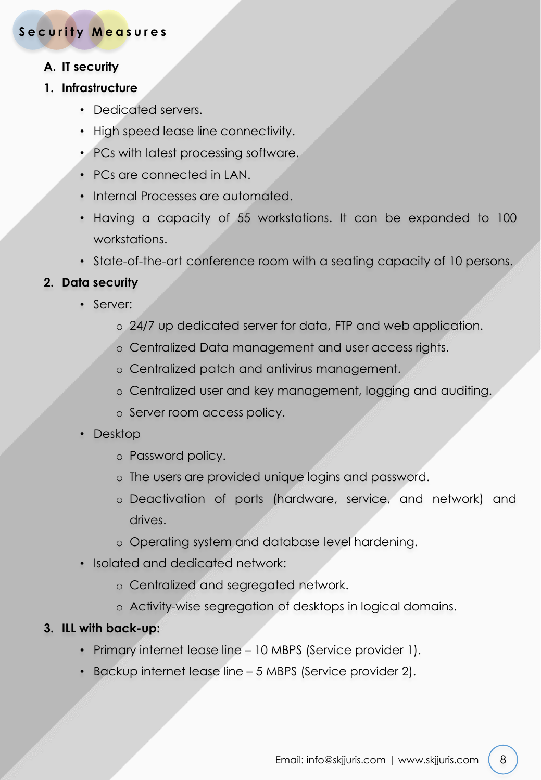# **Security Measures**

# **A. IT security**

## **1. Infrastructure**

- Dedicated servers.
- High speed lease line connectivity.
- PCs with latest processing software.
- PCs are connected in LAN.
- Internal Processes are automated.
- Having a capacity of 55 workstations. It can be expanded to 100 workstations.
- State-of-the-art conference room with a seating capacity of 10 persons.

# **2. Data security**

- Server:
	- o 24/7 up dedicated server for data, FTP and web application.
	- o Centralized Data management and user access rights.
	- o Centralized patch and antivirus management.
	- o Centralized user and key management, logging and auditing.
	- o Server room access policy.
- Desktop
	- o Password policy.
	- o The users are provided unique logins and password.
	- o Deactivation of ports (hardware, service, and network) and drives.
	- o Operating system and database level hardening.
- Isolated and dedicated network:
	- o Centralized and segregated network.
	- o Activity-wise segregation of desktops in logical domains.

## **3. ILL with back-up:**

- Primary internet lease line 10 MBPS (Service provider 1).
- Backup internet lease line 5 MBPS (Service provider 2).